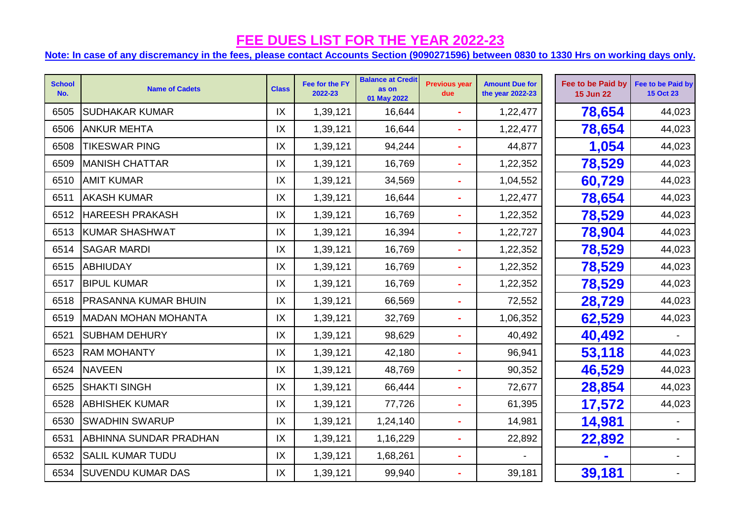| <b>School</b><br>No. | <b>Name of Cadets</b>         | <b>Class</b> | Fee for the FY<br>2022-23 | <b>Balance at Credit</b><br>as on<br>01 May 2022 | <b>Previous year</b><br>due | <b>Amount Due for</b><br>the year 2022-23 | Fee to be Paid by<br><b>15 Jun 22</b> | Fee to be Paid by<br><b>15 Oct 23</b> |
|----------------------|-------------------------------|--------------|---------------------------|--------------------------------------------------|-----------------------------|-------------------------------------------|---------------------------------------|---------------------------------------|
| 6505                 | <b>SUDHAKAR KUMAR</b>         | IX           | 1,39,121                  | 16,644                                           |                             | 1,22,477                                  | 78,654                                | 44,023                                |
| 6506                 | <b>ANKUR MEHTA</b>            | IX           | 1,39,121                  | 16,644                                           |                             | 1,22,477                                  | 78,654                                | 44,023                                |
| 6508                 | <b>TIKESWAR PING</b>          | IX           | 1,39,121                  | 94,244                                           | $\sim$                      | 44,877                                    | 1,054                                 | 44,023                                |
| 6509                 | <b>MANISH CHATTAR</b>         | IX           | 1,39,121                  | 16,769                                           | $\blacksquare$              | 1,22,352                                  | 78,529                                | 44,023                                |
| 6510                 | <b>AMIT KUMAR</b>             | IX           | 1,39,121                  | 34,569                                           | $\blacksquare$              | 1,04,552                                  | 60,729                                | 44,023                                |
| 6511                 | <b>AKASH KUMAR</b>            | IX           | 1,39,121                  | 16,644                                           | ÷                           | 1,22,477                                  | 78,654                                | 44,023                                |
| 6512                 | <b>HAREESH PRAKASH</b>        | IX           | 1,39,121                  | 16,769                                           |                             | 1,22,352                                  | 78,529                                | 44,023                                |
| 6513                 | KUMAR SHASHWAT                | IX           | 1,39,121                  | 16,394                                           |                             | 1,22,727                                  | 78,904                                | 44,023                                |
| 6514                 | <b>SAGAR MARDI</b>            | IX           | 1,39,121                  | 16,769                                           | $\blacksquare$              | 1,22,352                                  | 78,529                                | 44,023                                |
| 6515                 | ABHIUDAY                      | IX           | 1,39,121                  | 16,769                                           | $\blacksquare$              | 1,22,352                                  | 78,529                                | 44,023                                |
| 6517                 | <b>BIPUL KUMAR</b>            | IX           | 1,39,121                  | 16,769                                           | $\blacksquare$              | 1,22,352                                  | 78,529                                | 44,023                                |
| 6518                 | <b>PRASANNA KUMAR BHUIN</b>   | IX           | 1,39,121                  | 66,569                                           | $\blacksquare$              | 72,552                                    | 28,729                                | 44,023                                |
| 6519                 | MADAN MOHAN MOHANTA           | IX           | 1,39,121                  | 32,769                                           | ÷                           | 1,06,352                                  | 62,529                                | 44,023                                |
| 6521                 | <b>SUBHAM DEHURY</b>          | IX           | 1,39,121                  | 98,629                                           |                             | 40,492                                    | 40,492                                |                                       |
| 6523                 | <b>RAM MOHANTY</b>            | IX           | 1,39,121                  | 42,180                                           | $\blacksquare$              | 96,941                                    | 53,118                                | 44,023                                |
| 6524                 | <b>NAVEEN</b>                 | IX           | 1,39,121                  | 48,769                                           | $\blacksquare$              | 90,352                                    | 46,529                                | 44,023                                |
| 6525                 | <b>SHAKTI SINGH</b>           | IX           | 1,39,121                  | 66,444                                           | $\tilde{\phantom{a}}$       | 72,677                                    | 28,854                                | 44,023                                |
| 6528                 | <b>ABHISHEK KUMAR</b>         | IX           | 1,39,121                  | 77,726                                           | $\blacksquare$              | 61,395                                    | 17,572                                | 44,023                                |
| 6530                 | <b>SWADHIN SWARUP</b>         | IX           | 1,39,121                  | 1,24,140                                         | $\blacksquare$              | 14,981                                    | 14,981                                |                                       |
| 6531                 | <b>ABHINNA SUNDAR PRADHAN</b> | IX           | 1,39,121                  | 1,16,229                                         | $\blacksquare$              | 22,892                                    | 22,892                                |                                       |
| 6532                 | <b>SALIL KUMAR TUDU</b>       | IX           | 1,39,121                  | 1,68,261                                         |                             |                                           |                                       |                                       |
|                      | 6534   SUVENDU KUMAR DAS      | IX           | 1,39,121                  | 99,940                                           | $\blacksquare$              | 39,181                                    | 39,181                                |                                       |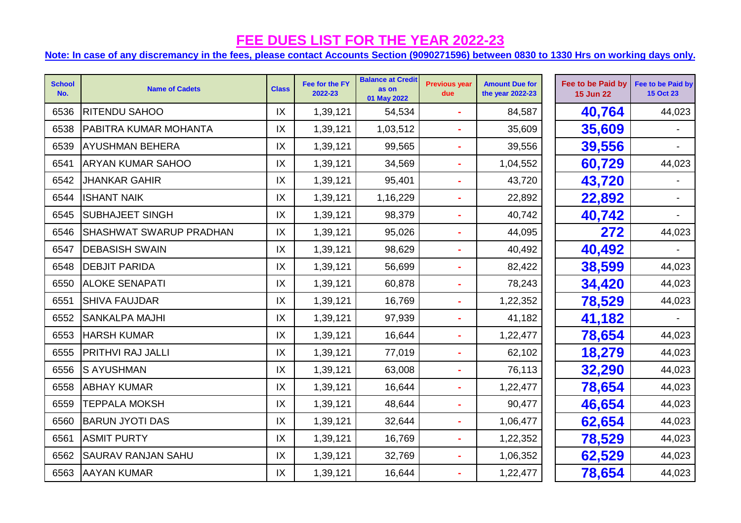| <b>School</b><br>No. | <b>Name of Cadets</b>          | <b>Class</b>  | Fee for the FY<br>2022-23 | <b>Balance at Credit</b><br>as on<br>01 May 2022 | <b>Previous year</b><br>due | <b>Amount Due for</b><br>the year 2022-23 | Fee to be Paid by<br><b>15 Jun 22</b> | Fee to be Paid by<br><b>15 Oct 23</b> |
|----------------------|--------------------------------|---------------|---------------------------|--------------------------------------------------|-----------------------------|-------------------------------------------|---------------------------------------|---------------------------------------|
| 6536                 | RITENDU SAHOO                  | IX            | 1,39,121                  | 54,534                                           | $\sim$                      | 84,587                                    | 40,764                                | 44,023                                |
| 6538                 | <b>PABITRA KUMAR MOHANTA</b>   | IX            | 1,39,121                  | 1,03,512                                         | $\blacksquare$              | 35,609                                    | 35,609                                |                                       |
| 6539                 | <b>AYUSHMAN BEHERA</b>         | IX            | 1,39,121                  | 99,565                                           | $\blacksquare$              | 39,556                                    | 39,556                                |                                       |
| 6541                 | <b>ARYAN KUMAR SAHOO</b>       | IX            | 1,39,121                  | 34,569                                           | $\blacksquare$              | 1,04,552                                  | 60,729                                | 44,023                                |
| 6542                 | <b>JHANKAR GAHIR</b>           | IX            | 1,39,121                  | 95,401                                           | ä,                          | 43,720                                    | 43,720                                |                                       |
| 6544                 | <b>ISHANT NAIK</b>             | IX            | 1,39,121                  | 1,16,229                                         | $\blacksquare$              | 22,892                                    | 22,892                                |                                       |
| 6545                 | <b>SUBHAJEET SINGH</b>         | IX            | 1,39,121                  | 98,379                                           | ä,                          | 40,742                                    | 40,742                                |                                       |
| 6546                 | <b>SHASHWAT SWARUP PRADHAN</b> | IX            | 1,39,121                  | 95,026                                           |                             | 44,095                                    | 272                                   | 44,023                                |
| 6547                 | <b>DEBASISH SWAIN</b>          | $\mathsf{IX}$ | 1,39,121                  | 98,629                                           | ä,                          | 40,492                                    | 40,492                                |                                       |
| 6548                 | <b>DEBJIT PARIDA</b>           | IX            | 1,39,121                  | 56,699                                           | $\blacksquare$              | 82,422                                    | 38,599                                | 44,023                                |
| 6550                 | <b>ALOKE SENAPATI</b>          | $\mathsf{IX}$ | 1,39,121                  | 60,878                                           | $\blacksquare$              | 78,243                                    | 34,420                                | 44,023                                |
| 6551                 | <b>SHIVA FAUJDAR</b>           | IX            | 1,39,121                  | 16,769                                           | $\blacksquare$              | 1,22,352                                  | 78,529                                | 44,023                                |
| 6552                 | <b>SANKALPA MAJHI</b>          | IX            | 1,39,121                  | 97,939                                           | $\blacksquare$              | 41,182                                    | 41,182                                |                                       |
| 6553                 | <b>HARSH KUMAR</b>             | IX            | 1,39,121                  | 16,644                                           | $\blacksquare$              | 1,22,477                                  | 78,654                                | 44,023                                |
| 6555                 | <b>PRITHVI RAJ JALLI</b>       | IX            | 1,39,121                  | 77,019                                           |                             | 62,102                                    | 18,279                                | 44,023                                |
| 6556                 | <b>S AYUSHMAN</b>              | IX            | 1,39,121                  | 63,008                                           | $\sim$                      | 76,113                                    | 32,290                                | 44,023                                |
| 6558                 | <b>ABHAY KUMAR</b>             | IX            | 1,39,121                  | 16,644                                           | $\blacksquare$              | 1,22,477                                  | 78,654                                | 44,023                                |
| 6559                 | <b>TEPPALA MOKSH</b>           | IX            | 1,39,121                  | 48,644                                           | $\blacksquare$              | 90,477                                    | 46,654                                | 44,023                                |
| 6560                 | <b>BARUN JYOTI DAS</b>         | IX            | 1,39,121                  | 32,644                                           | $\blacksquare$              | 1,06,477                                  | 62,654                                | 44,023                                |
| 6561                 | <b>ASMIT PURTY</b>             | IX            | 1,39,121                  | 16,769                                           | $\blacksquare$              | 1,22,352                                  | 78,529                                | 44,023                                |
| 6562                 | <b>SAURAV RANJAN SAHU</b>      | IX            | 1,39,121                  | 32,769                                           | ä,                          | 1,06,352                                  | 62,529                                | 44,023                                |
| 6563                 | <b>AAYAN KUMAR</b>             | IX            | 1,39,121                  | 16,644                                           |                             | 1,22,477                                  | 78,654                                | 44,023                                |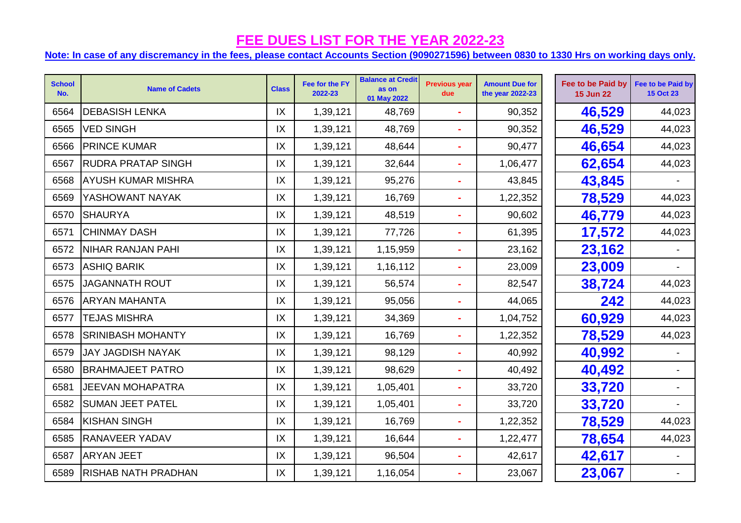| <b>School</b><br>No. | <b>Name of Cadets</b>     | <b>Class</b> | Fee for the FY<br>2022-23 | <b>Balance at Credit</b><br>as on<br>01 May 2022 | <b>Previous year</b><br>due | <b>Amount Due for</b><br>the year 2022-23 | Fee to be Paid by<br><b>15 Jun 22</b> | Fee to be Paid by<br><b>15 Oct 23</b> |
|----------------------|---------------------------|--------------|---------------------------|--------------------------------------------------|-----------------------------|-------------------------------------------|---------------------------------------|---------------------------------------|
| 6564                 | <b>DEBASISH LENKA</b>     | IX           | 1,39,121                  | 48,769                                           |                             | 90,352                                    | 46,529                                | 44,023                                |
| 6565                 | <b>VED SINGH</b>          | IX           | 1,39,121                  | 48,769                                           |                             | 90,352                                    | 46,529                                | 44,023                                |
| 6566                 | <b>PRINCE KUMAR</b>       | IX           | 1,39,121                  | 48,644                                           | $\blacksquare$              | 90,477                                    | 46,654                                | 44,023                                |
| 6567                 | <b>RUDRA PRATAP SINGH</b> | IX           | 1,39,121                  | 32,644                                           |                             | 1,06,477                                  | 62,654                                | 44,023                                |
| 6568                 | <b>AYUSH KUMAR MISHRA</b> | IX           | 1,39,121                  | 95,276                                           | $\blacksquare$              | 43,845                                    | 43,845                                |                                       |
| 6569                 | YASHOWANT NAYAK           | IX           | 1,39,121                  | 16,769                                           |                             | 1,22,352                                  | 78,529                                | 44,023                                |
| 6570                 | <b>SHAURYA</b>            | IX           | 1,39,121                  | 48,519                                           |                             | 90,602                                    | 46,779                                | 44,023                                |
| 6571                 | <b>CHINMAY DASH</b>       | IX           | 1,39,121                  | 77,726                                           |                             | 61,395                                    | 17,572                                | 44,023                                |
| 6572                 | NIHAR RANJAN PAHI         | IX           | 1,39,121                  | 1,15,959                                         |                             | 23,162                                    | 23,162                                |                                       |
| 6573                 | <b>ASHIQ BARIK</b>        | IX           | 1,39,121                  | 1,16,112                                         | $\blacksquare$              | 23,009                                    | 23,009                                |                                       |
| 6575                 | <b>JAGANNATH ROUT</b>     | IX           | 1,39,121                  | 56,574                                           |                             | 82,547                                    | 38,724                                | 44,023                                |
|                      | 6576   ARYAN MAHANTA      | IX           | 1,39,121                  | 95,056                                           |                             | 44,065                                    | 242                                   | 44,023                                |
| 6577                 | <b>TEJAS MISHRA</b>       | IX           | 1,39,121                  | 34,369                                           | $\blacksquare$              | 1,04,752                                  | 60,929                                | 44,023                                |
| 6578                 | <b>SRINIBASH MOHANTY</b>  | IX           | 1,39,121                  | 16,769                                           |                             | 1,22,352                                  | 78,529                                | 44,023                                |
| 6579                 | <b>JAY JAGDISH NAYAK</b>  | IX           | 1,39,121                  | 98,129                                           |                             | 40,992                                    | 40,992                                |                                       |
| 6580                 | <b>BRAHMAJEET PATRO</b>   | IX           | 1,39,121                  | 98,629                                           | $\blacksquare$              | 40,492                                    | 40,492                                | $\blacksquare$                        |
| 6581                 | <b>JEEVAN MOHAPATRA</b>   | IX           | 1,39,121                  | 1,05,401                                         |                             | 33,720                                    | 33,720                                |                                       |
| 6582                 | <b>SUMAN JEET PATEL</b>   | IX           | 1,39,121                  | 1,05,401                                         | $\blacksquare$              | 33,720                                    | 33,720                                |                                       |
| 6584                 | <b>KISHAN SINGH</b>       | IX           | 1,39,121                  | 16,769                                           | $\blacksquare$              | 1,22,352                                  | 78,529                                | 44,023                                |
| 6585                 | <b>RANAVEER YADAV</b>     | IX           | 1,39,121                  | 16,644                                           |                             | 1,22,477                                  | 78,654                                | 44,023                                |
| 6587                 | <b>ARYAN JEET</b>         | IX           | 1,39,121                  | 96,504                                           |                             | 42,617                                    | 42,617                                |                                       |
|                      | 6589 RISHAB NATH PRADHAN  | IX           | 1,39,121                  | 1,16,054                                         |                             | 23,067                                    | 23,067                                |                                       |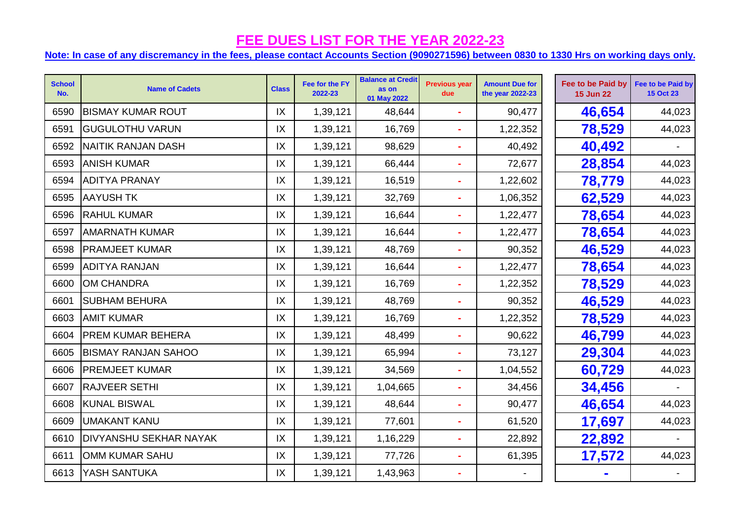| <b>School</b><br>No. | <b>Name of Cadets</b>         | <b>Class</b> | Fee for the FY<br>2022-23 | <b>Balance at Credit</b><br>as on<br>01 May 2022 | <b>Previous year</b><br>due | <b>Amount Due for</b><br>the year 2022-23 | Fee to be Paid by<br><b>15 Jun 22</b> | Fee to be Paid by<br><b>15 Oct 23</b> |
|----------------------|-------------------------------|--------------|---------------------------|--------------------------------------------------|-----------------------------|-------------------------------------------|---------------------------------------|---------------------------------------|
| 6590                 | <b>BISMAY KUMAR ROUT</b>      | IX           | 1,39,121                  | 48,644                                           |                             | 90,477                                    | 46,654                                | 44,023                                |
| 6591                 | <b>GUGULOTHU VARUN</b>        | IX           | 1,39,121                  | 16,769                                           |                             | 1,22,352                                  | 78,529                                | 44,023                                |
| 6592                 | NAITIK RANJAN DASH            | IX           | 1,39,121                  | 98,629                                           | $\blacksquare$              | 40,492                                    | 40,492                                |                                       |
| 6593                 | <b>ANISH KUMAR</b>            | IX           | 1,39,121                  | 66,444                                           |                             | 72,677                                    | 28,854                                | 44,023                                |
| 6594                 | <b>ADITYA PRANAY</b>          | IX           | 1,39,121                  | 16,519                                           |                             | 1,22,602                                  | 78,779                                | 44,023                                |
| 6595                 | <b>AAYUSH TK</b>              | IX           | 1,39,121                  | 32,769                                           |                             | 1,06,352                                  | 62,529                                | 44,023                                |
| 6596                 | <b>RAHUL KUMAR</b>            | IX           | 1,39,121                  | 16,644                                           |                             | 1,22,477                                  | 78,654                                | 44,023                                |
| 6597                 | <b>AMARNATH KUMAR</b>         | IX           | 1,39,121                  | 16,644                                           |                             | 1,22,477                                  | 78,654                                | 44,023                                |
| 6598                 | <b>PRAMJEET KUMAR</b>         | IX           | 1,39,121                  | 48,769                                           |                             | 90,352                                    | 46,529                                | 44,023                                |
| 6599                 | <b>ADITYA RANJAN</b>          | IX           | 1,39,121                  | 16,644                                           |                             | 1,22,477                                  | 78,654                                | 44,023                                |
| 6600                 | OM CHANDRA                    | IX           | 1,39,121                  | 16,769                                           |                             | 1,22,352                                  | 78,529                                | 44,023                                |
| 6601                 | <b>SUBHAM BEHURA</b>          | IX           | 1,39,121                  | 48,769                                           |                             | 90,352                                    | 46,529                                | 44,023                                |
| 6603                 | <b>AMIT KUMAR</b>             | IX           | 1,39,121                  | 16,769                                           |                             | 1,22,352                                  | 78,529                                | 44,023                                |
| 6604                 | <b>PREM KUMAR BEHERA</b>      | IX           | 1,39,121                  | 48,499                                           |                             | 90,622                                    | 46,799                                | 44,023                                |
| 6605                 | <b>BISMAY RANJAN SAHOO</b>    | IX           | 1,39,121                  | 65,994                                           |                             | 73,127                                    | 29,304                                | 44,023                                |
| 6606                 | <b>PREMJEET KUMAR</b>         | IX           | 1,39,121                  | 34,569                                           | $\blacksquare$              | 1,04,552                                  | 60,729                                | 44,023                                |
| 6607                 | <b>RAJVEER SETHI</b>          | IX           | 1,39,121                  | 1,04,665                                         |                             | 34,456                                    | 34,456                                |                                       |
| 6608                 | <b>KUNAL BISWAL</b>           | IX           | 1,39,121                  | 48,644                                           |                             | 90,477                                    | 46,654                                | 44,023                                |
| 6609                 | <b>UMAKANT KANU</b>           | IX           | 1,39,121                  | 77,601                                           | ä,                          | 61,520                                    | 17,697                                | 44,023                                |
| 6610                 | <b>DIVYANSHU SEKHAR NAYAK</b> | IX           | 1,39,121                  | 1,16,229                                         |                             | 22,892                                    | 22,892                                |                                       |
| 6611                 | OMM KUMAR SAHU                | IX           | 1,39,121                  | 77,726                                           |                             | 61,395                                    | 17,572                                | 44,023                                |
| 6613                 | YASH SANTUKA                  | IX           | 1,39,121                  | 1,43,963                                         |                             |                                           |                                       |                                       |